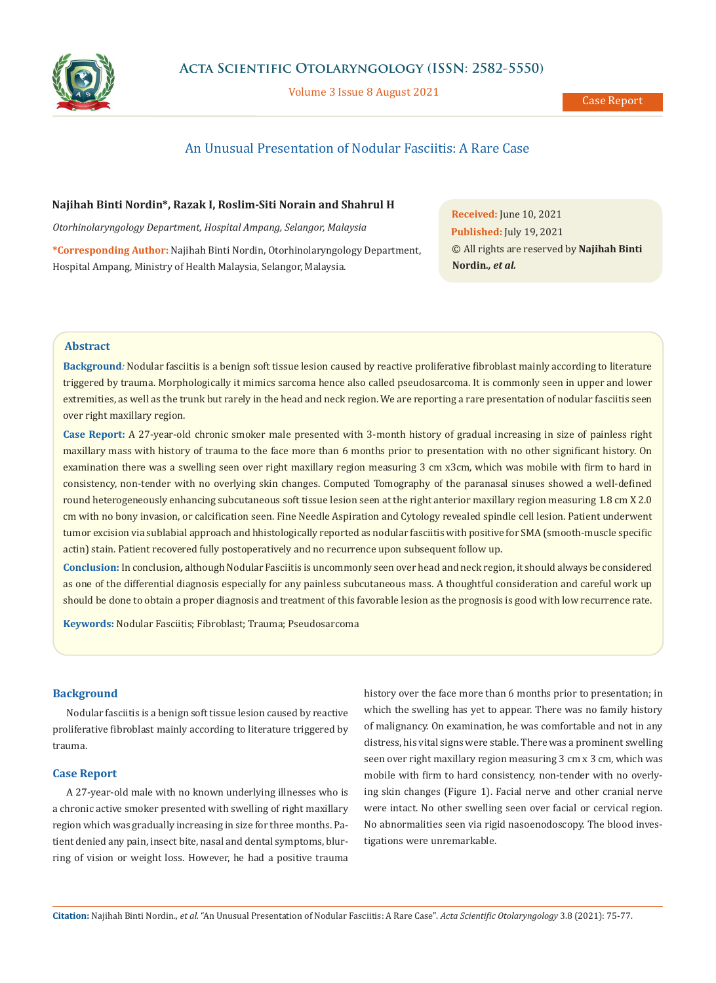

Volume 3 Issue 8 August 2021

# An Unusual Presentation of Nodular Fasciitis: A Rare Case

## **Najihah Binti Nordin\*, Razak I, Roslim-Siti Norain and Shahrul H**

*Otorhinolaryngology Department, Hospital Ampang, Selangor, Malaysia*

**\*Corresponding Author:** Najihah Binti Nordin, Otorhinolaryngology Department, Hospital Ampang, Ministry of Health Malaysia, Selangor, Malaysia.

**Received:** June 10, 2021 **Published:** July 19, 2021 © All rights are reserved by **Najihah Binti Nordin***., et al.*

## **Abstract**

**Background***:* Nodular fasciitis is a benign soft tissue lesion caused by reactive proliferative fibroblast mainly according to literature triggered by trauma. Morphologically it mimics sarcoma hence also called pseudosarcoma. It is commonly seen in upper and lower extremities, as well as the trunk but rarely in the head and neck region. We are reporting a rare presentation of nodular fasciitis seen over right maxillary region.

**Case Report:** A 27-year-old chronic smoker male presented with 3-month history of gradual increasing in size of painless right maxillary mass with history of trauma to the face more than 6 months prior to presentation with no other significant history. On examination there was a swelling seen over right maxillary region measuring 3 cm x3cm, which was mobile with firm to hard in consistency, non-tender with no overlying skin changes. Computed Tomography of the paranasal sinuses showed a well-defined round heterogeneously enhancing subcutaneous soft tissue lesion seen at the right anterior maxillary region measuring 1.8 cm X 2.0 cm with no bony invasion, or calcification seen. Fine Needle Aspiration and Cytology revealed spindle cell lesion. Patient underwent tumor excision via sublabial approach and hhistologically reported as nodular fasciitis with positive for SMA (smooth-muscle specific actin) stain. Patient recovered fully postoperatively and no recurrence upon subsequent follow up.

**Conclusion:** In conclusion*,* although Nodular Fasciitis is uncommonly seen over head and neck region, it should always be considered as one of the differential diagnosis especially for any painless subcutaneous mass. A thoughtful consideration and careful work up should be done to obtain a proper diagnosis and treatment of this favorable lesion as the prognosis is good with low recurrence rate.

**Keywords:** Nodular Fasciitis; Fibroblast; Trauma; Pseudosarcoma

## **Background**

Nodular fasciitis is a benign soft tissue lesion caused by reactive proliferative fibroblast mainly according to literature triggered by trauma.

#### **Case Report**

A 27-year-old male with no known underlying illnesses who is a chronic active smoker presented with swelling of right maxillary region which was gradually increasing in size for three months. Patient denied any pain, insect bite, nasal and dental symptoms, blurring of vision or weight loss. However, he had a positive trauma

history over the face more than 6 months prior to presentation; in which the swelling has yet to appear. There was no family history of malignancy. On examination, he was comfortable and not in any distress, his vital signs were stable. There was a prominent swelling seen over right maxillary region measuring 3 cm x 3 cm, which was mobile with firm to hard consistency, non-tender with no overlying skin changes (Figure 1). Facial nerve and other cranial nerve were intact. No other swelling seen over facial or cervical region. No abnormalities seen via rigid nasoenodoscopy. The blood investigations were unremarkable.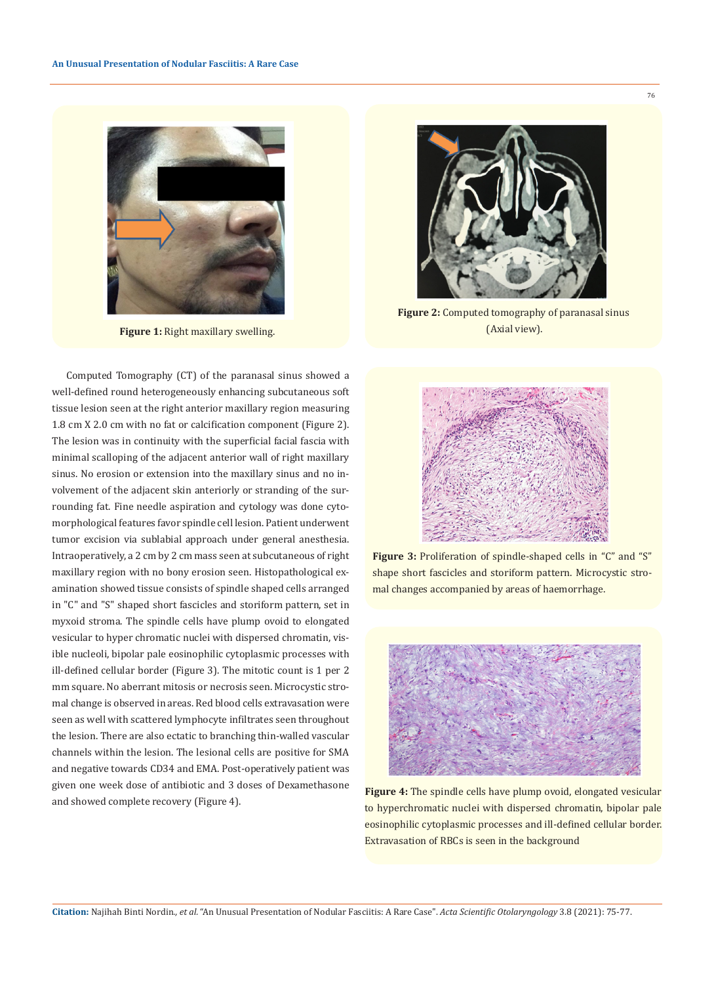

**Figure 1:** Right maxillary swelling.

Computed Tomography (CT) of the paranasal sinus showed a well-defined round heterogeneously enhancing subcutaneous soft tissue lesion seen at the right anterior maxillary region measuring 1.8 cm X 2.0 cm with no fat or calcification component (Figure 2). The lesion was in continuity with the superficial facial fascia with minimal scalloping of the adjacent anterior wall of right maxillary sinus. No erosion or extension into the maxillary sinus and no involvement of the adjacent skin anteriorly or stranding of the surrounding fat. Fine needle aspiration and cytology was done cytomorphological features favor spindle cell lesion. Patient underwent tumor excision via sublabial approach under general anesthesia. Intraoperatively, a 2 cm by 2 cm mass seen at subcutaneous of right maxillary region with no bony erosion seen. Histopathological examination showed tissue consists of spindle shaped cells arranged in "C" and "S" shaped short fascicles and storiform pattern, set in myxoid stroma. The spindle cells have plump ovoid to elongated vesicular to hyper chromatic nuclei with dispersed chromatin, visible nucleoli, bipolar pale eosinophilic cytoplasmic processes with ill-defined cellular border (Figure 3). The mitotic count is 1 per 2 mm square. No aberrant mitosis or necrosis seen. Microcystic stromal change is observed in areas. Red blood cells extravasation were seen as well with scattered lymphocyte infiltrates seen throughout the lesion. There are also ectatic to branching thin-walled vascular channels within the lesion. The lesional cells are positive for SMA and negative towards CD34 and EMA. Post-operatively patient was given one week dose of antibiotic and 3 doses of Dexamethasone and showed complete recovery (Figure 4).



**Figure 2:** Computed tomography of paranasal sinus (Axial view).



**Figure 3:** Proliferation of spindle-shaped cells in "C" and "S" shape short fascicles and storiform pattern. Microcystic stromal changes accompanied by areas of haemorrhage.



**Figure 4:** The spindle cells have plump ovoid, elongated vesicular to hyperchromatic nuclei with dispersed chromatin, bipolar pale eosinophilic cytoplasmic processes and ill-defined cellular border. Extravasation of RBCs is seen in the background